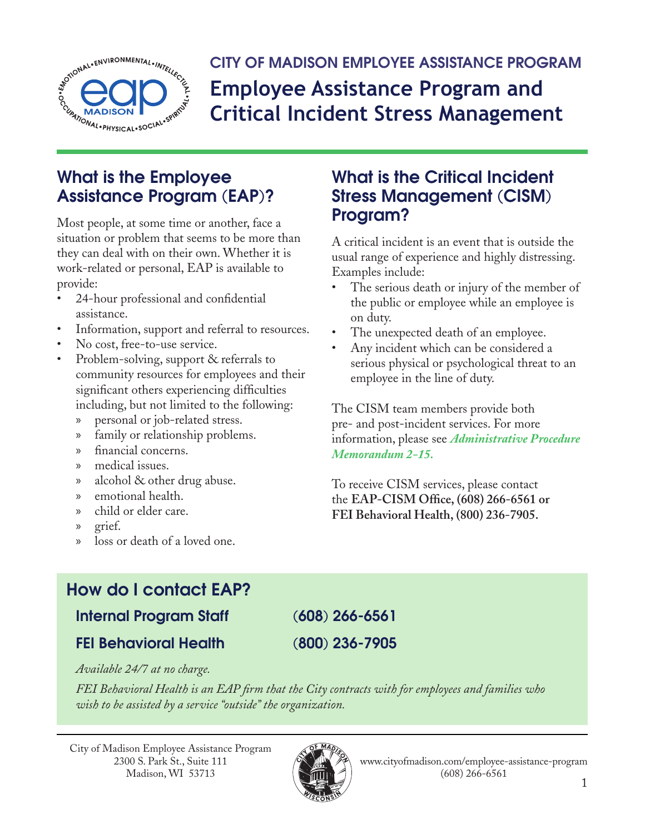

**CITY OF MADISON EMPLOYEE ASSISTANCE PROGRAM Employee Assistance Program and Critical Incident Stress Management**

## **What is the Employee Assistance Program (EAP)?**

Most people, at some time or another, face a situation or problem that seems to be more than they can deal with on their own. Whether it is work-related or personal, EAP is available to provide:

- 24-hour professional and confidential assistance.
- Information, support and referral to resources.
- No cost, free-to-use service.
- Problem-solving, support & referrals to community resources for employees and their significant others experiencing difficulties including, but not limited to the following:
	- » personal or job-related stress.
	- » family or relationship problems.
	- » financial concerns.
	- » medical issues.
	- » alcohol & other drug abuse.
	- » emotional health.
	- » child or elder care.
	- » grief.
	- » loss or death of a loved one.

## **What is the Critical Incident Stress Management (CISM) Program?**

A critical incident is an event that is outside the usual range of experience and highly distressing. Examples include:

- The serious death or injury of the member of the public or employee while an employee is on duty.
- The unexpected death of an employee.
- Any incident which can be considered a serious physical or psychological threat to an employee in the line of duty.

The CISM team members provide both pre- and post-incident services. For more information, please see *[Administrative Procedure](http://www.cityofmadison.com/mayor/apm/2-15.pdf)  [Memorandum](http://www.cityofmadison.com/mayor/apm/2-15.pdf) 2-15.*

To receive CISM services, please contact the **EAP-CISM Office, (608) 266-6561 or FEI Behavioral Health, (800) 236-7905.**

# **How do I contact EAP?**

**Internal Program Staff (608) 266-6561**

**FEI Behavioral Health (800) 236-7905**

*Available 24/7 at no charge.* 

*FEI Behavioral Health is an EAP firm that the City contracts with for employees and families who wish to be assisted by a service "outside" the organization.*

City of Madison Employee Assistance Program 2300 S. Park St., Suite 111 Madison, WI 53713